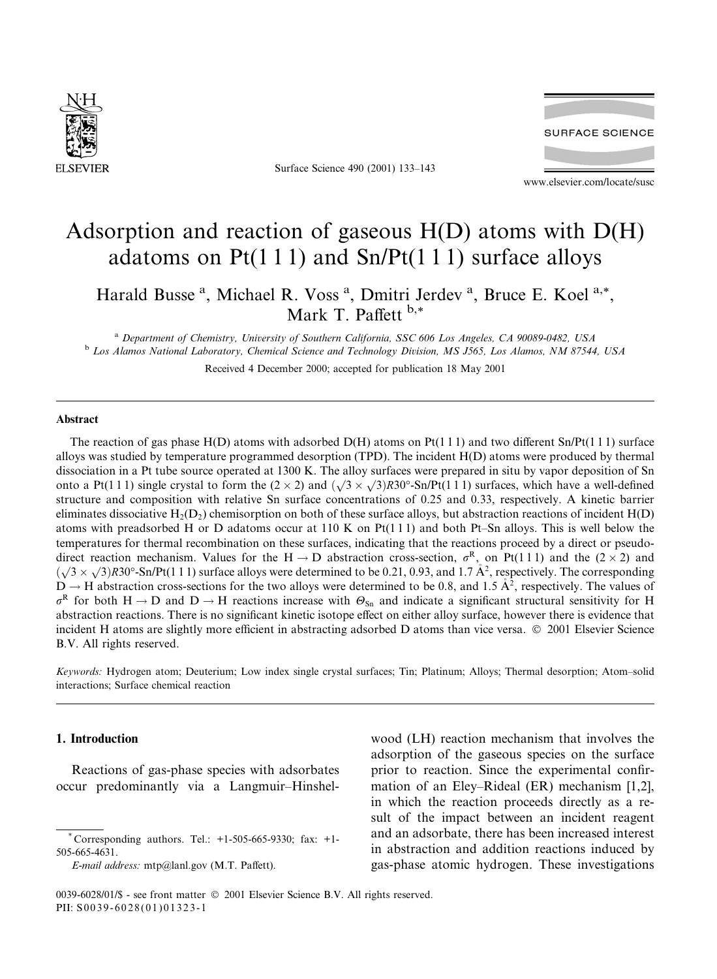

Surface Science 490 (2001) 133-143



www.elsevier.com/locate/susc

# Adsorption and reaction of gaseous  $H(D)$  atoms with  $D(H)$ adatoms on  $Pt(111)$  and  $Sn/Pt(111)$  surface alloys

Harald Busse<sup>a</sup>, Michael R. Voss<sup>a</sup>, Dmitri Jerdev<sup>a</sup>, Bruce E. Koel<sup>a,\*</sup>, Mark T. Paffett  $b.*$ 

<sup>a</sup> Department of Chemistry, University of Southern California, SSC 606 Los Angeles, CA 90089-0482, USA <sup>b</sup> Los Alamos National Laboratory, Chemical Science and Technology Division, MS J565, Los Alamos, NM 87544, USA

Received 4 December 2000; accepted for publication 18 May 2001

## Abstract

The reaction of gas phase  $H(D)$  atoms with adsorbed  $D(H)$  atoms on  $Pt(111)$  and two different  $Sn/Pt(111)$  surface alloys was studied by temperature programmed desorption (TPD). The incident H(D) atoms were produced by thermal dissociation in a Pt tube source operated at 1300 K. The alloy surfaces were prepared in situ by vapor deposition of Sn onto a Pt(111) single crystal to form the  $(2 \times 2)$  and  $(\sqrt{3} \times \sqrt{3})R30^\circ$ -Sn/Pt(111) surfaces, which have a well-defined structure and composition with relative Sn surface concentrations of 0.25 and 0.33, respectively. A kinetic barrier eliminates dissociative  $H_2(D_2)$  chemisorption on both of these surface alloys, but abstraction reactions of incident  $H(D)$ atoms with preadsorbed H or D adatoms occur at 110 K on  $Pt(111)$  and both Pt-Sn alloys. This is well below the temperatures for thermal recombination on these surfaces, indicating that the reactions proceed by a direct or pseudodirect reaction mechanism. Values for the H  $\rightarrow$  D abstraction cross-section,  $\sigma^R$ , on Pt(111) and the (2 × 2) and  $(\sqrt{3} \times \sqrt{3})$ R30°-Sn/Pt(111) surface alloys were determined to be 0.21, 0.93, and 1.7 Å<sup>2</sup>, respectively. The corresponding  $D \rightarrow H$  abstraction cross-sections for the two alloys were determined to be 0.8, and 1.5  $\AA^2$ , respectively. The values of  $\sigma^R$  for both H  $\rightarrow$  D and D  $\rightarrow$  H reactions increase with  $\Theta_{\text{Sn}}$  and indicate a significant structural sensitivity for H abstraction reactions. There is no significant kinetic isotope effect on either alloy surface, however there is evidence that incident H atoms are slightly more efficient in abstracting adsorbed D atoms than vice versa. © 2001 Elsevier Science B.V. All rights reserved.

Keywords: Hydrogen atom; Deuterium; Low index single crystal surfaces; Tin; Platinum; Alloys; Thermal desorption; Atom-solid interactions: Surface chemical reaction

# 1. Introduction

Reactions of gas-phase species with adsorbates occur predominantly via a Langmuir-Hinshel-

E-mail address: mtp@lanl.gov (M.T. Paffett).

wood (LH) reaction mechanism that involves the adsorption of the gaseous species on the surface prior to reaction. Since the experimental confirmation of an Eley–Rideal (ER) mechanism [1,2], in which the reaction proceeds directly as a result of the impact between an incident reagent and an adsorbate, there has been increased interest in abstraction and addition reactions induced by gas-phase atomic hydrogen. These investigations

Corresponding authors. Tel.:  $+1-505-665-9330$ ; fax:  $+1-$ 505-665-4631.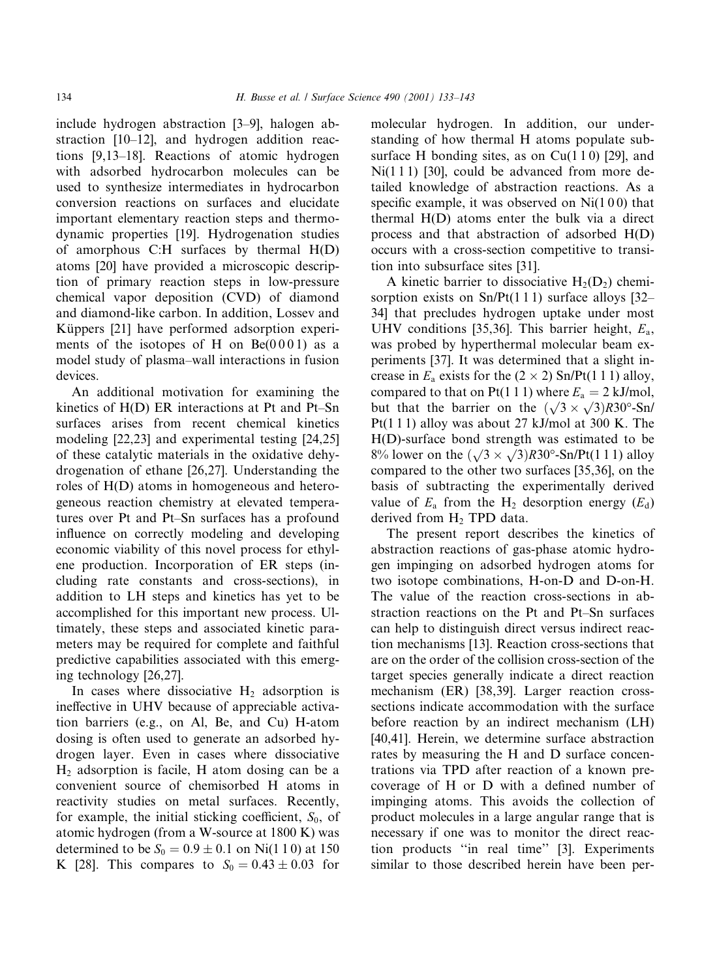include hydrogen abstraction [3-9], halogen abstraction  $[10-12]$ , and hydrogen addition reactions  $[9,13-18]$ . Reactions of atomic hydrogen with adsorbed hydrocarbon molecules can be used to synthesize intermediates in hydrocarbon conversion reactions on surfaces and elucidate important elementary reaction steps and thermodynamic properties [19]. Hydrogenation studies of amorphous C:H surfaces by thermal  $H(D)$ atoms [20] have provided a microscopic description of primary reaction steps in low-pressure chemical vapor deposition (CVD) of diamond and diamond-like carbon. In addition, Lossev and Küppers [21] have performed adsorption experiments of the isotopes of H on  $Be(0001)$  as a model study of plasma-wall interactions in fusion devices.

An additional motivation for examining the kinetics of H(D) ER interactions at Pt and Pt-Sn surfaces arises from recent chemical kinetics modeling [22,23] and experimental testing [24,25] of these catalytic materials in the oxidative dehydrogenation of ethane [26,27]. Understanding the roles of H(D) atoms in homogeneous and heterogeneous reaction chemistry at elevated temperatures over Pt and Pt-Sn surfaces has a profound influence on correctly modeling and developing economic viability of this novel process for ethylene production. Incorporation of ER steps (including rate constants and cross-sections), in addition to LH steps and kinetics has yet to be accomplished for this important new process. Ultimately, these steps and associated kinetic parameters may be required for complete and faithful predictive capabilities associated with this emerging technology [26,27].

In cases where dissociative  $H_2$  adsorption is ineffective in UHV because of appreciable activation barriers (e.g., on Al, Be, and Cu) H-atom dosing is often used to generate an adsorbed hydrogen layer. Even in cases where dissociative  $H_2$  adsorption is facile, H atom dosing can be a convenient source of chemisorbed H atoms in reactivity studies on metal surfaces. Recently, for example, the initial sticking coefficient,  $S_0$ , of atomic hydrogen (from a W-source at 1800 K) was determined to be  $S_0 = 0.9 \pm 0.1$  on Ni(1 1 0) at 150 K [28]. This compares to  $S_0 = 0.43 \pm 0.03$  for

molecular hydrogen. In addition, our understanding of how thermal H atoms populate subsurface H bonding sites, as on  $Cu(110)$  [29], and  $Ni(111)$  [30], could be advanced from more detailed knowledge of abstraction reactions. As a specific example, it was observed on  $Ni(100)$  that thermal H(D) atoms enter the bulk via a direct process and that abstraction of adsorbed H(D) occurs with a cross-section competitive to transition into subsurface sites [31].

A kinetic barrier to dissociative  $H_2(D_2)$  chemisorption exists on  $Sn/Pt(111)$  surface alloys [32– 34) that precludes hydrogen uptake under most UHV conditions [35,36]. This barrier height,  $E_a$ , was probed by hyperthermal molecular beam experiments [37]. It was determined that a slight increase in  $E_a$  exists for the  $(2 \times 2)$  Sn/Pt(1 1 1) alloy, compared to that on Pt(1 1 1) where  $E_a = 2$  kJ/mol, but that the barrier on the  $(\sqrt{3} \times \sqrt{3})R30^{\circ}$ -Sn/  $Pt(111)$  alloy was about 27 kJ/mol at 300 K. The H(D)-surface bond strength was estimated to be 8% lower on the  $(\sqrt{3} \times \sqrt{3})R30^{\circ}$ -Sn/Pt(111) alloy compared to the other two surfaces [35,36], on the basis of subtracting the experimentally derived value of  $E_a$  from the H<sub>2</sub> desorption energy ( $E_d$ ) derived from  $H_2$  TPD data.

The present report describes the kinetics of abstraction reactions of gas-phase atomic hydrogen impinging on adsorbed hydrogen atoms for two isotope combinations, H-on-D and D-on-H. The value of the reaction cross-sections in abstraction reactions on the Pt and Pt-Sn surfaces can help to distinguish direct versus indirect reaction mechanisms [13]. Reaction cross-sections that are on the order of the collision cross-section of the target species generally indicate a direct reaction mechanism (ER) [38,39]. Larger reaction crosssections indicate accommodation with the surface before reaction by an indirect mechanism (LH) [40,41]. Herein, we determine surface abstraction rates by measuring the H and D surface concentrations via TPD after reaction of a known precoverage of H or D with a defined number of impinging atoms. This avoids the collection of product molecules in a large angular range that is necessary if one was to monitor the direct reaction products "in real time" [3]. Experiments similar to those described herein have been per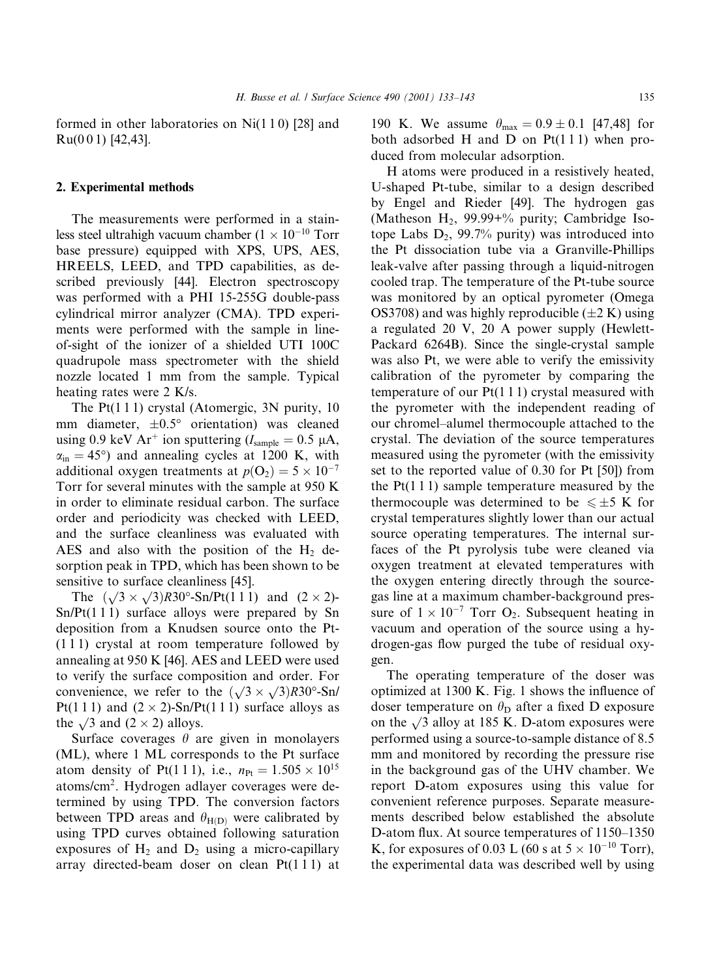formed in other laboratories on  $Ni(110)$  [28] and  $Ru(001)$  [42,43].

#### 2. Experimental methods

The measurements were performed in a stainless steel ultrahigh vacuum chamber ( $1 \times 10^{-10}$  Torr base pressure) equipped with XPS, UPS, AES, HREELS, LEED, and TPD capabilities, as described previously [44]. Electron spectroscopy was performed with a PHI 15-255G double-pass cylindrical mirror analyzer (CMA). TPD experiments were performed with the sample in lineof-sight of the ionizer of a shielded UTI 100C quadrupole mass spectrometer with the shield nozzle located 1 mm from the sample. Typical heating rates were 2 K/s.

The  $Pt(111)$  crystal (Atomergic, 3N purity, 10 mm diameter,  $\pm 0.5^{\circ}$  orientation) was cleaned using 0.9 keV Ar<sup>+</sup> ion sputtering ( $I_{\text{sample}} = 0.5 \mu A$ ,  $\alpha_{\rm in} = 45^{\circ}$  and annealing cycles at 1200 K, with additional oxygen treatments at  $p(O_2) = 5 \times 10^{-7}$ Torr for several minutes with the sample at 950 K in order to eliminate residual carbon. The surface order and periodicity was checked with LEED, and the surface cleanliness was evaluated with AES and also with the position of the  $H_2$  desorption peak in TPD, which has been shown to be sensitive to surface cleanliness [45].

The  $(\sqrt{3} \times \sqrt{3})R30^\circ$ -Sn/Pt(111) and  $(2 \times 2)$ - $Sn/Pt(111)$  surface alloys were prepared by Sn deposition from a Knudsen source onto the Pt- $(111)$  crystal at room temperature followed by annealing at 950 K [46]. AES and LEED were used to verify the surface composition and order. For convenience, we refer to the  $(\sqrt{3} \times \sqrt{3})R30^{\circ}$ -Sn/ Pt(111) and  $(2 \times 2)$ -Sn/Pt(111) surface alloys as the  $\sqrt{3}$  and  $(2 \times 2)$  alloys.

Surface coverages  $\theta$  are given in monolayers (ML), where 1 ML corresponds to the Pt surface atom density of Pt(111), i.e.,  $n_{Pt} = 1.505 \times 10^{15}$ atoms/cm<sup>2</sup>. Hydrogen adlayer coverages were determined by using TPD. The conversion factors between TPD areas and  $\theta_{H(D)}$  were calibrated by using TPD curves obtained following saturation exposures of  $H_2$  and  $D_2$  using a micro-capillary array directed-beam doser on clean  $Pt(111)$  at 190 K. We assume  $\theta_{\text{max}} = 0.9 \pm 0.1$  [47,48] for both adsorbed H and D on  $Pt(111)$  when produced from molecular adsorption.

H atoms were produced in a resistively heated, U-shaped Pt-tube, similar to a design described by Engel and Rieder [49]. The hydrogen gas (Matheson H<sub>2</sub>, 99.99+% purity; Cambridge Isotope Labs  $D_2$ , 99.7% purity) was introduced into the Pt dissociation tube via a Granville-Phillips leak-valve after passing through a liquid-nitrogen cooled trap. The temperature of the Pt-tube source was monitored by an optical pyrometer (Omega OS3708) and was highly reproducible  $(\pm 2 K)$  using a regulated 20 V, 20 A power supply (Hewlett-Packard 6264B). Since the single-crystal sample was also Pt, we were able to verify the emissivity calibration of the pyrometer by comparing the temperature of our  $Pt(111)$  crystal measured with the pyrometer with the independent reading of our chromel-alumel thermocouple attached to the crystal. The deviation of the source temperatures measured using the pyrometer (with the emissivity set to the reported value of 0.30 for Pt [50]) from the  $Pt(111)$  sample temperature measured by the thermocouple was determined to be  $\leq \pm 5$  K for crystal temperatures slightly lower than our actual source operating temperatures. The internal surfaces of the Pt pyrolysis tube were cleaned via oxygen treatment at elevated temperatures with the oxygen entering directly through the sourcegas line at a maximum chamber-background pressure of  $1 \times 10^{-7}$  Torr O<sub>2</sub>. Subsequent heating in vacuum and operation of the source using a hydrogen-gas flow purged the tube of residual oxygen.

The operating temperature of the doser was optimized at 1300 K. Fig. 1 shows the influence of doser temperature on  $\theta_{\rm D}$  after a fixed D exposure on the  $\sqrt{3}$  alloy at 185 K. D-atom exposures were performed using a source-to-sample distance of 8.5 mm and monitored by recording the pressure rise in the background gas of the UHV chamber. We report D-atom exposures using this value for convenient reference purposes. Separate measurements described below established the absolute D-atom flux. At source temperatures of 1150–1350 K, for exposures of 0.03 L (60 s at  $5 \times 10^{-10}$  Torr), the experimental data was described well by using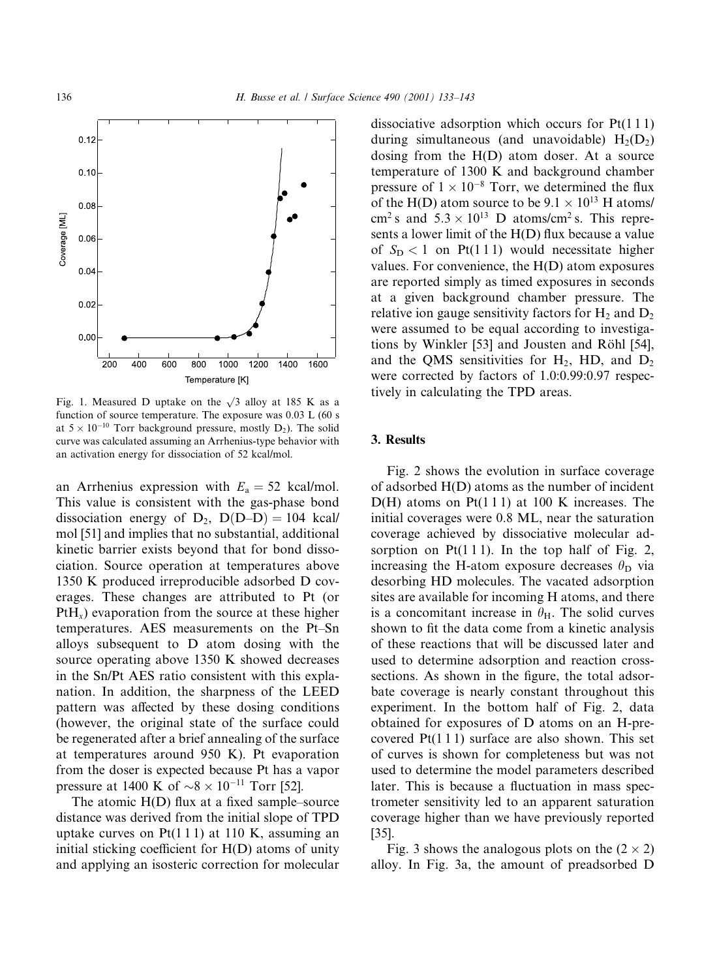

Fig. 1. Measured D uptake on the  $\sqrt{3}$  alloy at 185 K as a function of source temperature. The exposure was 0.03 L (60 s at  $5 \times 10^{-10}$  Torr background pressure, mostly  $D_2$ ). The solid curve was calculated assuming an Arrhenius-type behavior with an activation energy for dissociation of 52 kcal/mol.

an Arrhenius expression with  $E_a = 52$  kcal/mol. This value is consistent with the gas-phase bond dissociation energy of  $D_2$ ,  $D(D-D) = 104$  kcal/ mol [51] and implies that no substantial, additional kinetic barrier exists beyond that for bond dissociation. Source operation at temperatures above 1350 K produced irreproducible adsorbed D coverages. These changes are attributed to Pt (or  $PtH<sub>x</sub>$ ) evaporation from the source at these higher temperatures. AES measurements on the Pt-Sn alloys subsequent to D atom dosing with the source operating above 1350 K showed decreases in the Sn/Pt AES ratio consistent with this explanation. In addition, the sharpness of the LEED pattern was affected by these dosing conditions (however, the original state of the surface could be regenerated after a brief annealing of the surface at temperatures around 950 K). Pt evaporation from the doser is expected because Pt has a vapor pressure at 1400 K of  $\sim 8 \times 10^{-11}$  Torr [52].

The atomic  $H(D)$  flux at a fixed sample–source distance was derived from the initial slope of TPD uptake curves on  $Pt(111)$  at 110 K, assuming an initial sticking coefficient for H(D) atoms of unity and applying an isosteric correction for molecular dissociative adsorption which occurs for  $Pt(111)$ during simultaneous (and unavoidable)  $H_2(D_2)$ dosing from the  $H(D)$  atom doser. At a source temperature of 1300 K and background chamber pressure of  $1 \times 10^{-8}$  Torr, we determined the flux of the H(D) atom source to be  $9.1 \times 10^{13}$  H atoms/ cm<sup>2</sup> s and  $5.3 \times 10^{13}$  D atoms/cm<sup>2</sup> s. This represents a lower limit of the H(D) flux because a value of  $S_D < 1$  on Pt(111) would necessitate higher values. For convenience, the  $H(D)$  atom exposures are reported simply as timed exposures in seconds at a given background chamber pressure. The relative ion gauge sensitivity factors for  $H_2$  and  $D_2$ were assumed to be equal according to investigations by Winkler [53] and Jousten and Röhl [54], and the QMS sensitivities for  $H_2$ , HD, and  $D_2$ were corrected by factors of 1.0:0.99:0.97 respectively in calculating the TPD areas.

#### 3. Results

Fig. 2 shows the evolution in surface coverage of adsorbed  $H(D)$  atoms as the number of incident  $D(H)$  atoms on Pt(111) at 100 K increases. The initial coverages were 0.8 ML, near the saturation coverage achieved by dissociative molecular adsorption on  $Pt(111)$ . In the top half of Fig. 2, increasing the H-atom exposure decreases  $\theta_{\rm D}$  via desorbing HD molecules. The vacated adsorption sites are available for incoming H atoms, and there is a concomitant increase in  $\theta_{H}$ . The solid curves shown to fit the data come from a kinetic analysis of these reactions that will be discussed later and used to determine adsorption and reaction crosssections. As shown in the figure, the total adsorbate coverage is nearly constant throughout this experiment. In the bottom half of Fig. 2, data obtained for exposures of D atoms on an H-precovered  $Pt(111)$  surface are also shown. This set of curves is shown for completeness but was not used to determine the model parameters described later. This is because a fluctuation in mass spectrometer sensitivity led to an apparent saturation coverage higher than we have previously reported  $[35]$ .

Fig. 3 shows the analogous plots on the  $(2 \times 2)$ alloy. In Fig. 3a, the amount of preadsorbed D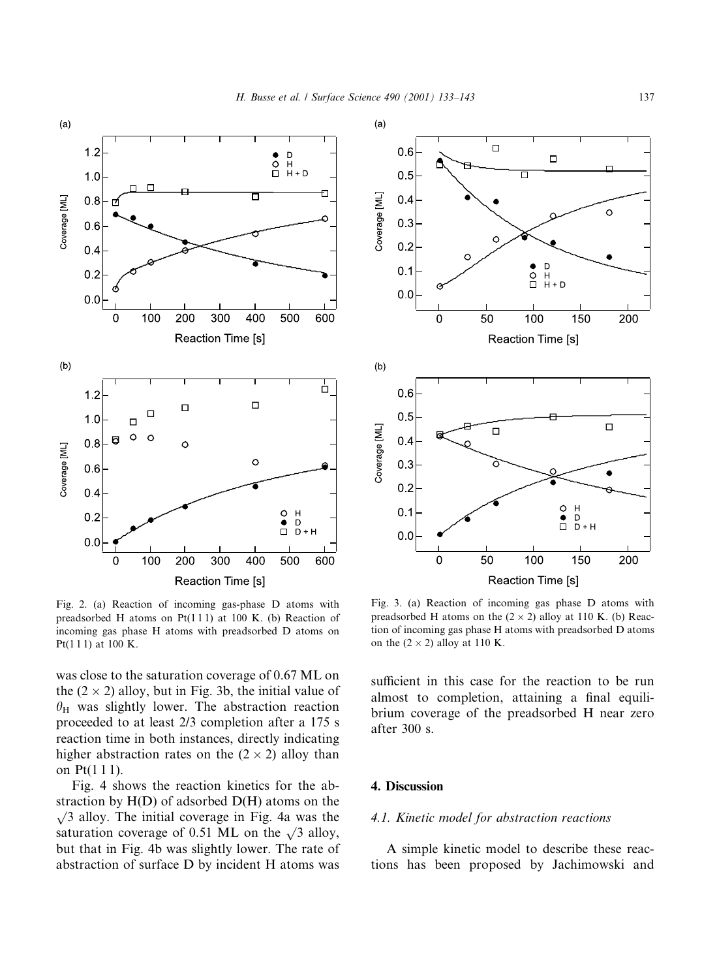

Fig. 2. (a) Reaction of incoming gas-phase D atoms with preadsorbed H atoms on  $Pt(111)$  at 100 K. (b) Reaction of incoming gas phase H atoms with preadsorbed D atoms on Pt(111) at 100 K.

was close to the saturation coverage of 0.67 ML on the  $(2 \times 2)$  alloy, but in Fig. 3b, the initial value of  $\theta_H$  was slightly lower. The abstraction reaction proceeded to at least 2/3 completion after a 175 s reaction time in both instances, directly indicating higher abstraction rates on the  $(2 \times 2)$  alloy than on Pt(111).

Fig. 4 shows the reaction kinetics for the abstraction by  $H(D)$  of adsorbed  $D(H)$  atoms on the  $\sqrt{3}$  alloy. The initial coverage in Fig. 4a was the saturation coverage of 0.51 ML on the  $\sqrt{3}$  alloy, but that in Fig. 4b was slightly lower. The rate of abstraction of surface D by incident H atoms was



Fig. 3. (a) Reaction of incoming gas phase D atoms with preadsorbed H atoms on the  $(2 \times 2)$  alloy at 110 K. (b) Reaction of incoming gas phase H atoms with preadsorbed D atoms on the  $(2 \times 2)$  alloy at 110 K.

sufficient in this case for the reaction to be run almost to completion, attaining a final equilibrium coverage of the preadsorbed H near zero after 300 s.

# 4. Discussion

#### 4.1. Kinetic model for abstraction reactions

A simple kinetic model to describe these reactions has been proposed by Jachimowski and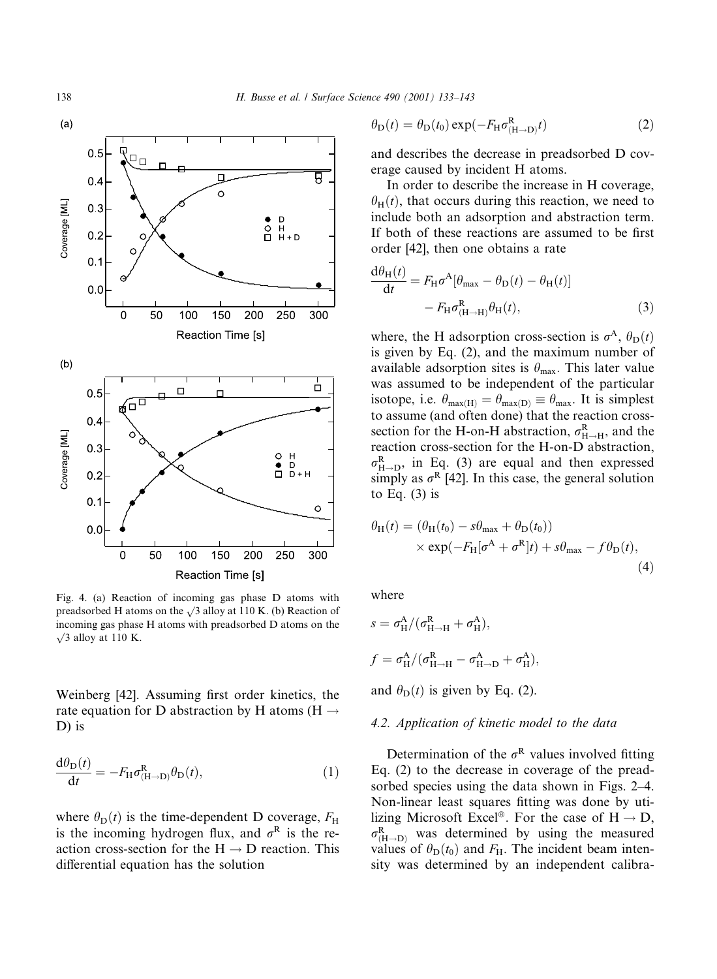

Fig. 4. (a) Reaction of incoming gas phase D atoms with preadsorbed H atoms on the  $\sqrt{3}$  alloy at 110 K. (b) Reaction of incoming gas phase H atoms with preadsorbed D atoms on the  $\sqrt{3}$  alloy at 110 K.

Weinberg [42]. Assuming first order kinetics, the rate equation for D abstraction by H atoms (H  $\rightarrow$  $D$ ) is

$$
\frac{d\theta_D(t)}{dt} = -F_H \sigma_{(H \to D)}^R \theta_D(t),\tag{1}
$$

where  $\theta_{\rm D}(t)$  is the time-dependent D coverage,  $F_{\rm H}$ is the incoming hydrogen flux, and  $\sigma^R$  is the reaction cross-section for the  $H \rightarrow D$  reaction. This differential equation has the solution

$$
\theta_{\mathcal{D}}(t) = \theta_{\mathcal{D}}(t_0) \exp(-F_{\mathcal{H}} \sigma_{(\mathcal{H}\to\mathcal{D})}^{\mathcal{R}} t)
$$
 (2)

and describes the decrease in preadsorbed D coverage caused by incident H atoms.

In order to describe the increase in H coverage,  $\theta_H(t)$ , that occurs during this reaction, we need to include both an adsorption and abstraction term. If both of these reactions are assumed to be first order [42], then one obtains a rate

$$
\frac{d\theta_H(t)}{dt} = F_H \sigma^A [\theta_{\text{max}} - \theta_D(t) - \theta_H(t)]
$$

$$
- F_H \sigma^R_{(H \to H)} \theta_H(t), \qquad (3)
$$

where, the H adsorption cross-section is  $\sigma^A$ ,  $\theta_D(t)$ is given by Eq. (2), and the maximum number of available adsorption sites is  $\theta_{\text{max}}$ . This later value was assumed to be independent of the particular isotope, i.e.  $\theta_{\text{max(H)}} = \theta_{\text{max(D)}} \equiv \theta_{\text{max}}$ . It is simplest to assume (and often done) that the reaction crosssection for the H-on-H abstraction,  $\sigma_{H\rightarrow H}^{R}$ , and the reaction cross-section for the H-on-D abstraction,  $\sigma_{H\rightarrow D}^{R}$ , in Eq. (3) are equal and then expressed simply as  $\sigma^R$  [42]. In this case, the general solution to Eq.  $(3)$  is

$$
\theta_{\rm H}(t) = (\theta_{\rm H}(t_0) - s\theta_{\rm max} + \theta_{\rm D}(t_0))
$$
  
× exp(-F<sub>H</sub>[ $\sigma^{\rm A} + \sigma^{\rm R}$ ] $t$ ) +  $s\theta_{\rm max} - f\theta_{\rm D}(t)$ , (4)

where

$$
s = \sigma_{\rm H}^{\rm A}/(\sigma_{\rm H\to H}^{\rm R} + \sigma_{\rm H}^{\rm A}),
$$
  

$$
f = \sigma_{\rm H}^{\rm A}/(\sigma_{\rm H\to H}^{\rm R} - \sigma_{\rm H\to D}^{\rm A} + \sigma_{\rm H}^{\rm A}),
$$
and  $\theta_{\rm D}(t)$  is given by Eq. (2).

# 4.2. Application of kinetic model to the data

Determination of the  $\sigma^R$  values involved fitting Eq.  $(2)$  to the decrease in coverage of the preadsorbed species using the data shown in Figs. 2–4. Non-linear least squares fitting was done by utilizing Microsoft Excel<sup>®</sup>. For the case of  $H \rightarrow D$ ,  $\sigma_{(H\rightarrow D)}^{R}$  was determined by using the measured values of  $\theta_{\text{D}}(t_0)$  and  $F_{\text{H}}$ . The incident beam intensity was determined by an independent calibra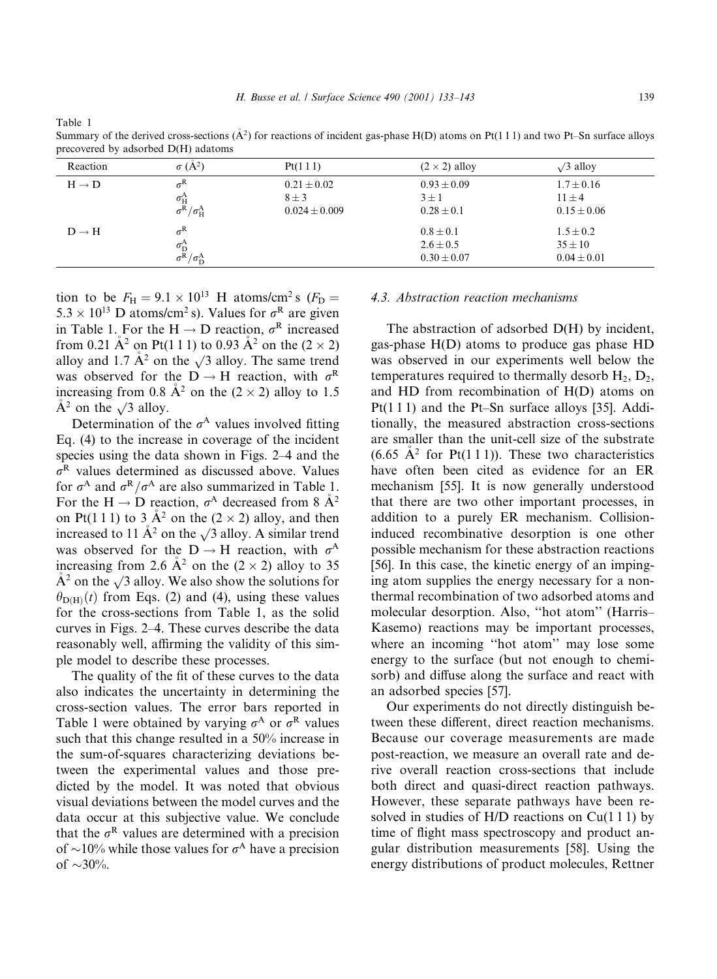Table 1

Summary of the derived cross-sections  $(A^2)$  for reactions of incident gas-phase H(D) atoms on Pt(111) and two Pt–Sn surface alloys precovered by adsorbed D(H) adatoms

| Reaction          | $\sigma(A^2)$                                                                                   | Pt(111)                                           | $(2 \times 2)$ alloy                              | $\sqrt{3}$ alloy                                |
|-------------------|-------------------------------------------------------------------------------------------------|---------------------------------------------------|---------------------------------------------------|-------------------------------------------------|
| $H \rightarrow D$ | $\sigma^{\rm R}$<br>$\frac{\sigma^{\rm A}_{\rm H}}{\sigma^{\rm R}/\sigma^{\rm A}_{\rm H}}$      | $0.21 \pm 0.02$<br>$8 \pm 3$<br>$0.024 \pm 0.009$ | $0.93 \pm 0.09$<br>$3 \pm 1$<br>$0.28 \pm 0.1$    | $1.7 \pm 0.16$<br>$11 \pm 4$<br>$0.15 \pm 0.06$ |
| $D \rightarrow H$ | $\sigma^{\rm R}$<br>$\frac{\sigma_\text{D}^\text{A}}{\sigma^\text{R}/\sigma_\text{D}^\text{A}}$ |                                                   | $0.8 \pm 0.1$<br>$2.6 \pm 0.5$<br>$0.30 \pm 0.07$ | $1.5 \pm 0.2$<br>$35 \pm 10$<br>$0.04 \pm 0.01$ |

tion to be  $F_H = 9.1 \times 10^{13}$  H atoms/cm<sup>2</sup> s ( $F_D =$  $5.3 \times 10^{13}$  D atoms/cm<sup>2</sup> s). Values for  $\sigma^R$  are given in Table 1. For the H  $\rightarrow$  D reaction,  $\sigma^R$  increased from 0.21  $\AA^2$  on Pt(1 1 1) to 0.93  $\AA^2$  on the (2  $\times$  2) alloy and 1.7  $\AA^2$  on the  $\sqrt{3}$  alloy. The same trend was observed for the  $D \rightarrow H$  reaction, with  $\sigma^R$ increasing from 0.8  $A^2$  on the (2 × 2) alloy to 1.5  $\dot{A}^2$  on the  $\sqrt{3}$  alloy.

Determination of the  $\sigma^A$  values involved fitting Eq. (4) to the increase in coverage of the incident species using the data shown in Figs. 2–4 and the  $\sigma^R$  values determined as discussed above. Values for  $\sigma^A$  and  $\sigma^R/\sigma^A$  are also summarized in Table 1. For the H  $\rightarrow$  D reaction,  $\sigma$ <sup>A</sup> decreased from 8  $\AA$ <sup>2</sup> on Pt(111) to 3  $A^2$  on the (2 × 2) alloy, and then increased to 11  $\AA^2$  on the  $\sqrt{3}$  alloy. A similar trend was observed for the D  $\rightarrow$  H reaction, with  $\sigma$ <sup>A</sup> increasing from 2.6  $A^2$  on the (2 × 2) alloy to 35  $A<sup>2</sup>$  on the  $\sqrt{3}$  alloy. We also show the solutions for  $\theta_{D(H)}(t)$  from Eqs. (2) and (4), using these values for the cross-sections from Table 1, as the solid curves in Figs. 2–4. These curves describe the data reasonably well, affirming the validity of this simple model to describe these processes.

The quality of the fit of these curves to the data also indicates the uncertainty in determining the cross-section values. The error bars reported in Table 1 were obtained by varying  $\sigma^A$  or  $\sigma^R$  values such that this change resulted in a 50% increase in the sum-of-squares characterizing deviations between the experimental values and those predicted by the model. It was noted that obvious visual deviations between the model curves and the data occur at this subjective value. We conclude that the  $\sigma^R$  values are determined with a precision of  $\sim$ 10% while those values for  $\sigma$ <sup>A</sup> have a precision of  $\sim$ 30%.

# 4.3. Abstraction reaction mechanisms

The abstraction of adsorbed D(H) by incident, gas-phase  $H(D)$  atoms to produce gas phase  $HD$ was observed in our experiments well below the temperatures required to thermally desorb  $H_2$ ,  $D_2$ , and HD from recombination of H(D) atoms on  $Pt(111)$  and the Pt-Sn surface alloys [35]. Additionally, the measured abstraction cross-sections are smaller than the unit-cell size of the substrate  $(6.65 \text{ Å}^2$  for Pt(111)). These two characteristics have often been cited as evidence for an ER mechanism [55]. It is now generally understood that there are two other important processes, in addition to a purely ER mechanism. Collisioninduced recombinative desorption is one other possible mechanism for these abstraction reactions [56]. In this case, the kinetic energy of an impinging atom supplies the energy necessary for a nonthermal recombination of two adsorbed atoms and molecular desorption. Also, "hot atom" (Harris-Kasemo) reactions may be important processes, where an incoming "hot atom" may lose some energy to the surface (but not enough to chemisorb) and diffuse along the surface and react with an adsorbed species [57].

Our experiments do not directly distinguish between these different, direct reaction mechanisms. Because our coverage measurements are made post-reaction, we measure an overall rate and derive overall reaction cross-sections that include both direct and quasi-direct reaction pathways. However, these separate pathways have been resolved in studies of  $H/D$  reactions on  $Cu(111)$  by time of flight mass spectroscopy and product angular distribution measurements [58]. Using the energy distributions of product molecules, Rettner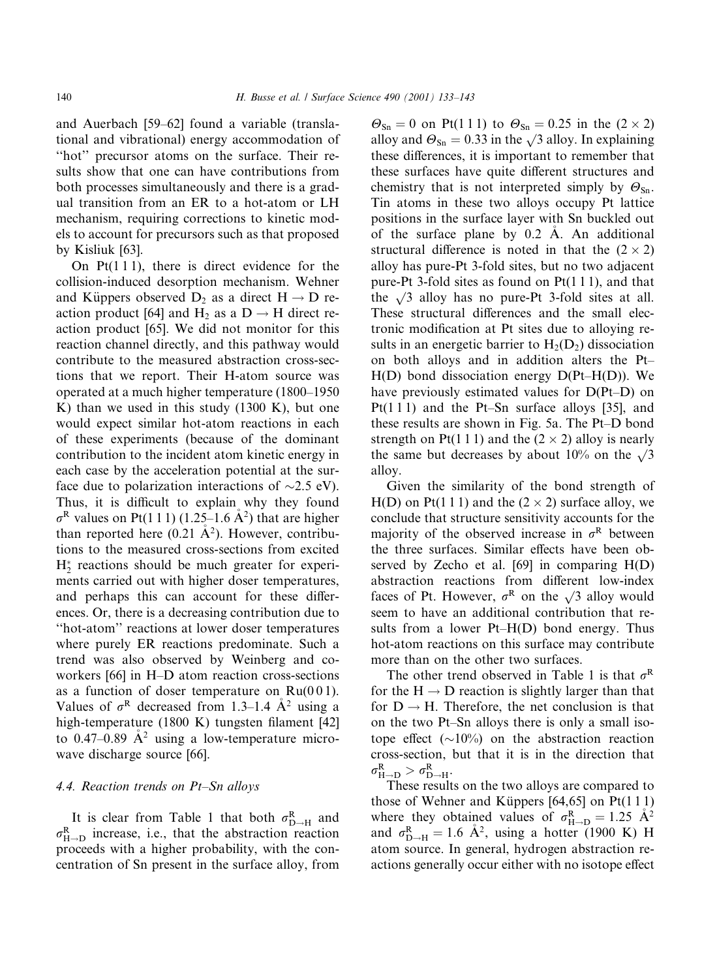and Auerbach [59-62] found a variable (translational and vibrational) energy accommodation of "hot" precursor atoms on the surface. Their results show that one can have contributions from both processes simultaneously and there is a gradual transition from an ER to a hot-atom or LH mechanism, requiring corrections to kinetic models to account for precursors such as that proposed by Kisliuk [63].

On  $Pt(111)$ , there is direct evidence for the collision-induced desorption mechanism. Wehner and Küppers observed  $D_2$  as a direct  $H \rightarrow D$  reaction product [64] and H<sub>2</sub> as a D  $\rightarrow$  H direct reaction product [65]. We did not monitor for this reaction channel directly, and this pathway would contribute to the measured abstraction cross-sections that we report. Their H-atom source was operated at a much higher temperature (1800–1950 K) than we used in this study  $(1300 \text{ K})$ , but one would expect similar hot-atom reactions in each of these experiments (because of the dominant contribution to the incident atom kinetic energy in each case by the acceleration potential at the surface due to polarization interactions of  $\sim$ 2.5 eV). Thus, it is difficult to explain why they found  $\sigma^R$  values on Pt(1 1 1) (1.25–1.6  $\AA^2$ ) that are higher than reported here  $(0.21 \text{ Å}^2)$ . However, contributions to the measured cross-sections from excited  $H^*$ , reactions should be much greater for experiments carried out with higher doser temperatures, and perhaps this can account for these differences. Or, there is a decreasing contribution due to "hot-atom" reactions at lower doser temperatures where purely ER reactions predominate. Such a trend was also observed by Weinberg and coworkers [66] in H-D atom reaction cross-sections as a function of doser temperature on  $Ru(001)$ . Values of  $\sigma^R$  decreased from 1.3–1.4  $A^2$  using a high-temperature (1800 K) tungsten filament [42] to 0.47–0.89  $A^2$  using a low-temperature microwave discharge source [66].

#### 4.4. Reaction trends on Pt-Sn alloys

It is clear from Table 1 that both  $\sigma_{D\rightarrow H}^{R}$  and  $\sigma_{H\rightarrow D}^{R}$  increase, i.e., that the abstraction reaction proceeds with a higher probability, with the concentration of Sn present in the surface alloy, from  $\Theta_{\text{Sn}} = 0$  on Pt(111) to  $\Theta_{\text{Sn}} = 0.25$  in the (2 × 2) alloy and  $\Theta_{\text{Sn}} = 0.33$  in the  $\sqrt{3}$  alloy. In explaining these differences, it is important to remember that these surfaces have quite different structures and chemistry that is not interpreted simply by  $\Theta_{\text{Sn}}$ . Tin atoms in these two alloys occupy Pt lattice positions in the surface layer with Sn buckled out of the surface plane by  $0.2$  A. An additional structural difference is noted in that the  $(2 \times 2)$ alloy has pure-Pt 3-fold sites, but no two adjacent pure-Pt 3-fold sites as found on  $Pt(111)$ , and that the  $\sqrt{3}$  alloy has no pure-Pt 3-fold sites at all. These structural differences and the small electronic modification at Pt sites due to alloying results in an energetic barrier to  $H_2(D_2)$  dissociation on both alloys and in addition alters the Pt- $H(D)$  bond dissociation energy  $D(Pt-H(D))$ . We have previously estimated values for D(Pt-D) on  $Pt(111)$  and the Pt-Sn surface alloys [35], and these results are shown in Fig. 5a. The Pt-D bond strength on Pt(1 1 1) and the  $(2 \times 2)$  alloy is nearly the same but decreases by about 10% on the  $\sqrt{3}$ alloy.

Given the similarity of the bond strength of H(D) on Pt(111) and the  $(2 \times 2)$  surface alloy, we conclude that structure sensitivity accounts for the majority of the observed increase in  $\sigma^R$  between the three surfaces. Similar effects have been observed by Zecho et al.  $[69]$  in comparing  $H(D)$ abstraction reactions from different low-index faces of Pt. However,  $\sigma^R$  on the  $\sqrt{3}$  alloy would seem to have an additional contribution that results from a lower Pt-H(D) bond energy. Thus hot-atom reactions on this surface may contribute more than on the other two surfaces.

The other trend observed in Table 1 is that  $\sigma^R$ for the  $H \rightarrow D$  reaction is slightly larger than that for  $D \rightarrow H$ . Therefore, the net conclusion is that on the two Pt-Sn alloys there is only a small isotope effect  $(\sim 10\%)$  on the abstraction reaction cross-section, but that it is in the direction that  $\sigma_{H\rightarrow D}^{R} > \sigma_{D\rightarrow H}^{R}$ .

These results on the two alloys are compared to those of Wehner and Küppers  $[64, 65]$  on Pt $(111)$ where they obtained values of  $\sigma_{H\rightarrow D}^{R} = 1.25 \text{ A}^{2}$ and  $\sigma_{\rm D-H}^{\rm R} = 1.6$  Å<sup>2</sup>, using a hotter (1900 K) H atom source. In general, hydrogen abstraction reactions generally occur either with no isotope effect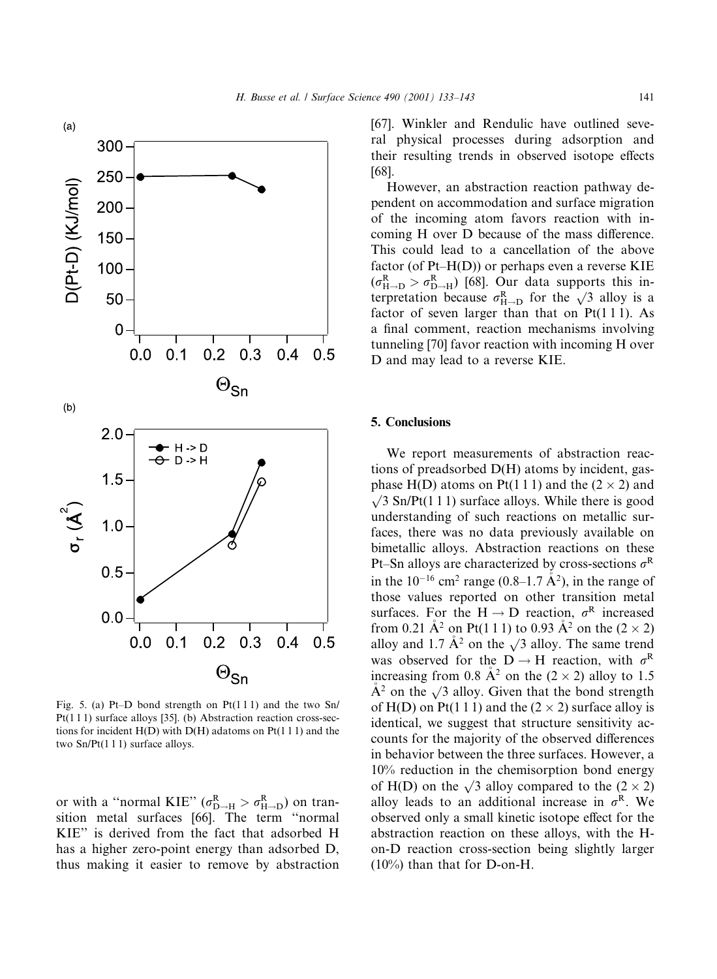

Fig. 5. (a) Pt-D bond strength on Pt(111) and the two Sn/  $Pt(111)$  surface alloys [35]. (b) Abstraction reaction cross-sections for incident  $H(D)$  with  $D(H)$  adatoms on  $Pt(111)$  and the two  $Sn/Pt(1 1 1)$  surface alloys.

or with a "normal KIE" ( $\sigma_{D-H}^{R} > \sigma_{H-D}^{R}$ ) on transition metal surfaces [66]. The term "normal KIE" is derived from the fact that adsorbed H has a higher zero-point energy than adsorbed D, thus making it easier to remove by abstraction [67]. Winkler and Rendulic have outlined several physical processes during adsorption and their resulting trends in observed isotope effects  $[68]$ .

However, an abstraction reaction pathway dependent on accommodation and surface migration of the incoming atom favors reaction with incoming H over D because of the mass difference. This could lead to a cancellation of the above factor (of  $Pt-H(D)$ ) or perhaps even a reverse KIE  $(\sigma_{H\rightarrow D}^{R} > \sigma_{D\rightarrow H}^{R})$  [68]. Our data supports this interpretation because  $\sigma_{H\rightarrow D}^{R}$  for the  $\sqrt{3}$  alloy is a factor of seven larger than that on Pt(111). As a final comment, reaction mechanisms involving tunneling [70] favor reaction with incoming H over D and may lead to a reverse KIE.

## **5. Conclusions**

We report measurements of abstraction reactions of preadsorbed D(H) atoms by incident, gasphase H(D) atoms on Pt(111) and the  $(2 \times 2)$  and  $\sqrt{3}$  Sn/Pt(111) surface alloys. While there is good understanding of such reactions on metallic surfaces, there was no data previously available on bimetallic alloys. Abstraction reactions on these Pt-Sn alloys are characterized by cross-sections  $\sigma^R$ in the  $10^{-16}$  cm<sup>2</sup> range (0.8–1.7  $\AA^2$ ), in the range of those values reported on other transition metal surfaces. For the H  $\rightarrow$  D reaction,  $\sigma^R$  increased from 0.21 Å<sup>2</sup> on Pt(1 1 1) to 0.93 Å<sup>2</sup> on the (2  $\times$  2) alloy and 1.7  $\AA^2$  on the  $\sqrt{3}$  alloy. The same trend was observed for the D  $\rightarrow$  H reaction, with  $\sigma^R$ increasing from 0.8  $A^2$  on the (2 × 2) alloy to 1.5  $A<sup>2</sup>$  on the  $\sqrt{3}$  alloy. Given that the bond strength of H(D) on Pt(1 1 1) and the  $(2 \times 2)$  surface alloy is identical, we suggest that structure sensitivity accounts for the majority of the observed differences in behavior between the three surfaces. However, a  $10\%$  reduction in the chemisorption bond energy of H(D) on the  $\sqrt{3}$  alloy compared to the  $(2 \times 2)$ alloy leads to an additional increase in  $\sigma^R$ . We observed only a small kinetic isotope effect for the abstraction reaction on these alloys, with the Hon-D reaction cross-section being slightly larger  $(10\%)$  than that for D-on-H.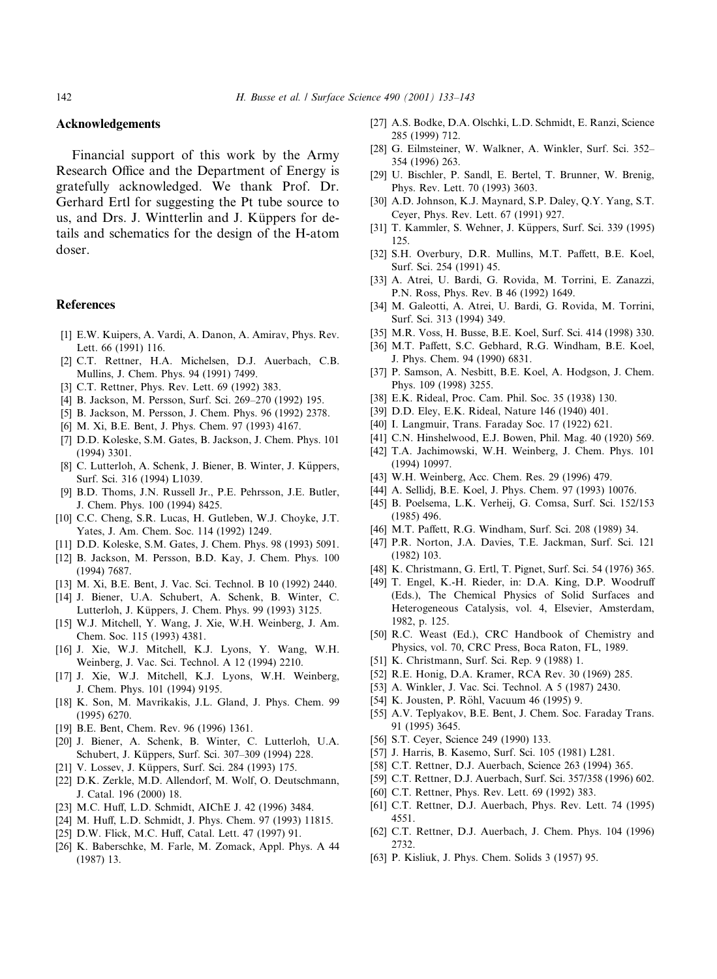#### Acknowledgements

Financial support of this work by the Army Research Office and the Department of Energy is gratefully acknowledged. We thank Prof. Dr. Gerhard Ertl for suggesting the Pt tube source to us, and Drs. J. Wintterlin and J. Küppers for details and schematics for the design of the H-atom doser.

# **References**

- [1] E.W. Kuipers, A. Vardi, A. Danon, A. Amirav, Phys. Rev. Lett. 66 (1991) 116.
- [2] C.T. Rettner, H.A. Michelsen, D.J. Auerbach, C.B. Mullins, J. Chem. Phys. 94 (1991) 7499.
- [3] C.T. Rettner, Phys. Rev. Lett. 69 (1992) 383.
- [4] B. Jackson, M. Persson, Surf. Sci. 269-270 (1992) 195.
- [5] B. Jackson, M. Persson, J. Chem. Phys. 96 (1992) 2378.
- [6] M. Xi, B.E. Bent, J. Phys. Chem. 97 (1993) 4167.
- [7] D.D. Koleske, S.M. Gates, B. Jackson, J. Chem. Phys. 101  $(1994)$  3301.
- [8] C. Lutterloh, A. Schenk, J. Biener, B. Winter, J. Küppers, Surf. Sci. 316 (1994) L1039.
- [9] B.D. Thoms, J.N. Russell Jr., P.E. Pehrsson, J.E. Butler, J. Chem. Phys. 100 (1994) 8425.
- [10] C.C. Cheng, S.R. Lucas, H. Gutleben, W.J. Choyke, J.T. Yates, J. Am. Chem. Soc. 114 (1992) 1249.
- [11] D.D. Koleske, S.M. Gates, J. Chem. Phys. 98 (1993) 5091.
- [12] B. Jackson, M. Persson, B.D. Kay, J. Chem. Phys. 100  $(1994) 7687.$
- [13] M. Xi, B.E. Bent, J. Vac. Sci. Technol. B 10 (1992) 2440.
- [14] J. Biener, U.A. Schubert, A. Schenk, B. Winter, C. Lutterloh, J. Küppers, J. Chem. Phys. 99 (1993) 3125.
- [15] W.J. Mitchell, Y. Wang, J. Xie, W.H. Weinberg, J. Am. Chem. Soc. 115 (1993) 4381.
- [16] J. Xie, W.J. Mitchell, K.J. Lyons, Y. Wang, W.H. Weinberg, J. Vac. Sci. Technol. A 12 (1994) 2210.
- [17] J. Xie, W.J. Mitchell, K.J. Lyons, W.H. Weinberg, J. Chem. Phys. 101 (1994) 9195.
- [18] K. Son, M. Mavrikakis, J.L. Gland, J. Phys. Chem. 99  $(1995)$  6270.
- [19] B.E. Bent, Chem. Rev. 96 (1996) 1361.
- [20] J. Biener, A. Schenk, B. Winter, C. Lutterloh, U.A. Schubert, J. Küppers, Surf. Sci. 307-309 (1994) 228.
- [21] V. Lossev, J. Küppers, Surf. Sci. 284 (1993) 175.
- [22] D.K. Zerkle, M.D. Allendorf, M. Wolf, O. Deutschmann, J. Catal. 196 (2000) 18.
- [23] M.C. Huff, L.D. Schmidt, AIChE J. 42 (1996) 3484.
- [24] M. Huff, L.D. Schmidt, J. Phys. Chem. 97 (1993) 11815.
- [25] D.W. Flick, M.C. Huff, Catal. Lett. 47 (1997) 91.
- [26] K. Baberschke, M. Farle, M. Zomack, Appl. Phys. A 44  $(1987)$  13.
- [27] A.S. Bodke, D.A. Olschki, L.D. Schmidt, E. Ranzi, Science 285 (1999) 712.
- [28] G. Eilmsteiner, W. Walkner, A. Winkler, Surf. Sci. 352-354 (1996) 263.
- [29] U. Bischler, P. Sandl, E. Bertel, T. Brunner, W. Brenig, Phys. Rev. Lett. 70 (1993) 3603.
- [30] A.D. Johnson, K.J. Maynard, S.P. Daley, O.Y. Yang, S.T. Ceyer, Phys. Rev. Lett. 67 (1991) 927.
- [31] T. Kammler, S. Wehner, J. Küppers, Surf. Sci. 339 (1995)  $125$
- [32] S.H. Overbury, D.R. Mullins, M.T. Paffett, B.E. Koel, Surf. Sci. 254 (1991) 45.
- [33] A. Atrei, U. Bardi, G. Rovida, M. Torrini, E. Zanazzi, P.N. Ross, Phys. Rev. B 46 (1992) 1649.
- [34] M. Galeotti, A. Atrei, U. Bardi, G. Rovida, M. Torrini, Surf. Sci. 313 (1994) 349.
- [35] M.R. Voss, H. Busse, B.E. Koel, Surf. Sci. 414 (1998) 330.
- [36] M.T. Paffett, S.C. Gebhard, R.G. Windham, B.E. Koel, J. Phys. Chem. 94 (1990) 6831.
- [37] P. Samson, A. Nesbitt, B.E. Koel, A. Hodgson, J. Chem. Phys. 109 (1998) 3255.
- [38] E.K. Rideal, Proc. Cam. Phil. Soc. 35 (1938) 130.
- [39] D.D. Eley, E.K. Rideal, Nature 146 (1940) 401.
- [40] I. Langmuir, Trans. Faraday Soc. 17 (1922) 621.
- [41] C.N. Hinshelwood, E.J. Bowen, Phil. Mag. 40 (1920) 569.
- [42] T.A. Jachimowski, W.H. Weinberg, J. Chem. Phys. 101  $(1994) 10997.$
- [43] W.H. Weinberg, Acc. Chem. Res. 29 (1996) 479.
- [44] A. Sellidj, B.E. Koel, J. Phys. Chem. 97 (1993) 10076.
- [45] B. Poelsema, L.K. Verheij, G. Comsa, Surf. Sci. 152/153  $(1985)$  496.
- [46] M.T. Paffett, R.G. Windham, Surf. Sci. 208 (1989) 34.
- [47] P.R. Norton, J.A. Davies, T.E. Jackman, Surf. Sci. 121  $(1982)$  103.
- [48] K. Christmann, G. Ertl, T. Pignet, Surf. Sci. 54 (1976) 365.
- [49] T. Engel, K.-H. Rieder, in: D.A. King, D.P. Woodruff (Eds.), The Chemical Physics of Solid Surfaces and Heterogeneous Catalysis, vol. 4, Elsevier, Amsterdam, 1982, p. 125.
- [50] R.C. Weast (Ed.), CRC Handbook of Chemistry and Physics, vol. 70, CRC Press, Boca Raton, FL, 1989.
- [51] K. Christmann, Surf. Sci. Rep. 9 (1988) 1.
- [52] R.E. Honig, D.A. Kramer, RCA Rev. 30 (1969) 285.
- [53] A. Winkler, J. Vac. Sci. Technol. A 5 (1987) 2430.
- [54] K. Jousten, P. Röhl, Vacuum 46 (1995) 9.
- [55] A.V. Teplyakov, B.E. Bent, J. Chem. Soc. Faraday Trans. 91 (1995) 3645.
- [56] S.T. Ceyer, Science 249 (1990) 133.
- [57] J. Harris, B. Kasemo, Surf. Sci. 105 (1981) L281.
- [58] C.T. Rettner, D.J. Auerbach, Science 263 (1994) 365.
- [59] C.T. Rettner, D.J. Auerbach, Surf. Sci. 357/358 (1996) 602.
- [60] C.T. Rettner, Phys. Rev. Lett. 69 (1992) 383.
- [61] C.T. Rettner, D.J. Auerbach, Phys. Rev. Lett. 74 (1995) 4551.
- [62] C.T. Rettner, D.J. Auerbach, J. Chem. Phys. 104 (1996) 2732
- [63] P. Kisliuk, J. Phys. Chem. Solids 3 (1957) 95.